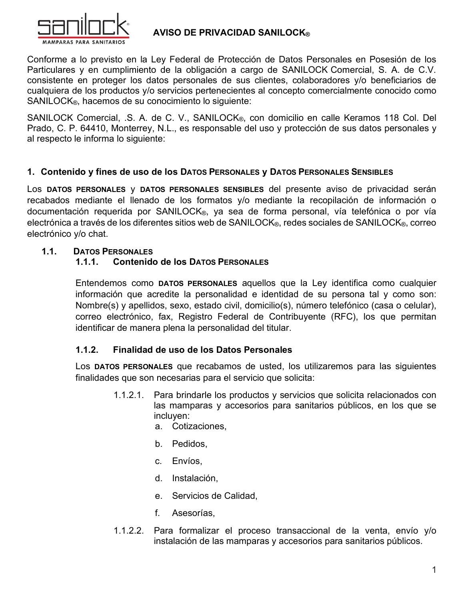

### **AVISO DE PRIVACIDAD SANILOCK®**

Conforme a lo previsto en la Ley Federal de Protección de Datos Personales en Posesión de los Particulares y en cumplimiento de la obligación a cargo de SANILOCK Comercial, S. A. de C.V. consistente en proteger los datos personales de sus clientes, colaboradores y/o beneficiarios de cualquiera de los productos y/o servicios pertenecientes al concepto comercialmente conocido como SANILOCK®, hacemos de su conocimiento lo siguiente:

SANILOCK Comercial, .S. A. de C. V., SANILOCK®, con domicilio en calle Keramos 118 Col. Del Prado, C. P. 64410, Monterrey, N.L., es responsable del uso y protección de sus datos personales y al respecto le informa lo siguiente:

#### 1. Contenido y fines de uso de los DATOS PERSONALES y DATOS PERSONALES SENSIBLES

Los DATOS PERSONALES y DATOS PERSONALES SENSIBLES del presente aviso de privacidad serán recabados mediante el llenado de los formatos y/o mediante la recopilación de información o documentación requerida por SANILOCK®, ya sea de forma personal, vía telefónica o por vía electrónica a través de los diferentes sitios web de SANILOCK®, redes sociales de SANILOCK®, correo electrónico y/o chat.

#### $1.1.$ **DATOS PERSONALES**

#### $1.1.1.$ **Contenido de los DATOS PERSONALES**

Entendemos como DATOS PERSONALES aquellos que la Ley identifica como cualquier información que acredite la personalidad e identidad de su persona tal y como son: Nombre(s) y apellidos, sexo, estado civil, domicilio(s), número telefónico (casa o celular), correo electrónico, fax, Registro Federal de Contribuyente (RFC), los que permitan identificar de manera plena la personalidad del titular.

#### $1.1.2.$ Finalidad de uso de los Datos Personales

Los DATOS PERSONALES que recabamos de usted, los utilizaremos para las siguientes finalidades que son necesarias para el servicio que solicita:

- $1.1.2.1.$ Para brindarle los productos y servicios que solicita relacionados con las mamparas y accesorios para sanitarios públicos, en los que se incluyen:
	- a. Cotizaciones.
	- b. Pedidos,
	- c. Envíos,
	- d. Instalación,
	- e. Servicios de Calidad,
	- f. Asesorías,
- $1.1.2.2$ Para formalizar el proceso transaccional de la venta, envío y/o instalación de las mamparas y accesorios para sanitarios públicos.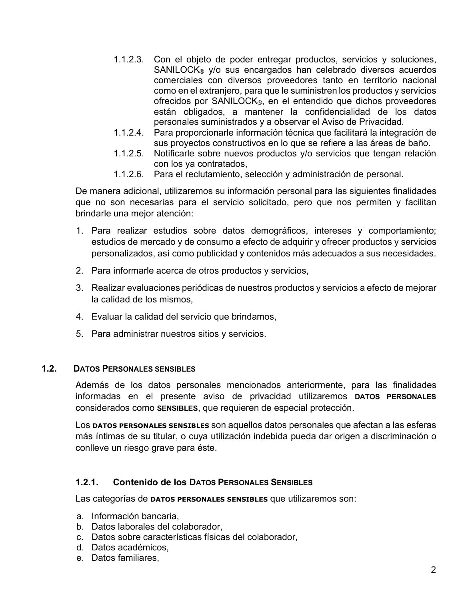- 1.1.2.3. Con el objeto de poder entregar productos, servicios y soluciones, SANILOCK<sup>®</sup> y/o sus encargados han celebrado diversos acuerdos comerciales con diversos proveedores tanto en territorio nacional como en el extranjero, para que le suministren los productos y servicios ofrecidos por SANILOCK®, en el entendido que dichos proveedores están obligados, a mantener la confidencialidad de los datos personales suministrados y a observar el Aviso de Privacidad.
- 1.1.2.4. Para proporcionarle información técnica que facilitará la integración de sus proyectos constructivos en lo que se refiere a las áreas de baño.
- $1.1.2.5.$ Notificarle sobre nuevos productos y/o servicios que tengan relación con los ya contratados.
- 1.1.2.6. Para el reclutamiento, selección y administración de personal.

De manera adicional, utilizaremos su información personal para las siguientes finalidades que no son necesarias para el servicio solicitado, pero que nos permiten y facilitan brindarle una meior atención:

- 1. Para realizar estudios sobre datos demográficos, intereses y comportamiento; estudios de mercado y de consumo a efecto de adquirir y ofrecer productos y servicios personalizados, así como publicidad y contenidos más adecuados a sus necesidades.
- 2. Para informarle acerca de otros productos y servicios,
- 3. Realizar evaluaciones periódicas de nuestros productos y servicios a efecto de mejorar la calidad de los mismos.
- 4. Evaluar la calidad del servicio que brindamos,
- 5. Para administrar nuestros sitios y servicios.

#### $1.2<sub>1</sub>$ **DATOS PERSONALES SENSIBLES**

Además de los datos personales mencionados anteriormente, para las finalidades informadas en el presente aviso de privacidad utilizaremos DATOS PERSONALES considerados como SENSIBLES, que requieren de especial protección.

Los **DATOS PERSONALES SENSIBLES** son aquellos datos personales que afectan a las esferas más íntimas de su titular, o cuya utilización indebida pueda dar origen a discriminación o conlleve un riesgo grave para éste.

#### $1.2.1.$ **Contenido de los DATOS PERSONALES SENSIBLES**

Las categorías de **DATOS PERSONALES SENSIBLES** que utilizaremos son:

- a. Información bancaria.
- b. Datos laborales del colaborador.
- c. Datos sobre características físicas del colaborador,
- d. Datos académicos.
- e. Datos familiares.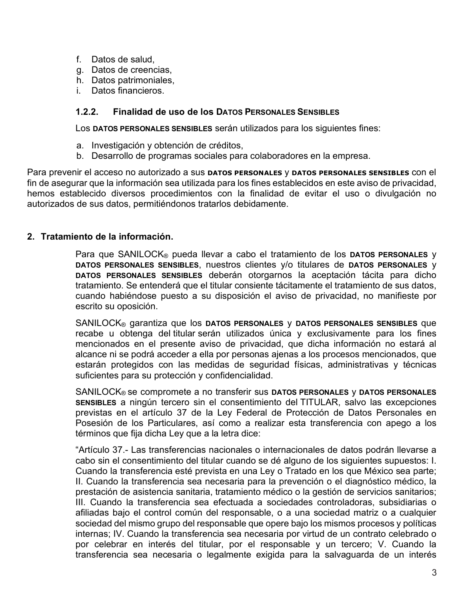- f. Datos de salud.
- g. Datos de creencias.
- h. Datos patrimoniales,
- i. Datos financieros.

#### $1.2.2.$ **Finalidad de uso de los DATOS PERSONALES SENSIBLES**

Los DATOS PERSONALES SENSIBLES serán utilizados para los siguientes fines:

- a. Investigación y obtención de créditos.
- b. Desarrollo de programas sociales para colaboradores en la empresa.

Para prevenir el acceso no autorizado a sus **DATOS PERSONALES y DATOS PERSONALES SENSIBLES** con el fin de asegurar que la información sea utilizada para los fines establecidos en este aviso de privacidad, hemos establecido diversos procedimientos con la finalidad de evitar el uso o divulgación no autorizados de sus datos, permitiéndonos tratarlos debidamente.

#### 2. Tratamiento de la información.

Para que SANILOCK® pueda llevar a cabo el tratamiento de los DATOS PERSONALES y DATOS PERSONALES SENSIBLES, nuestros clientes y/o titulares de DATOS PERSONALES y DATOS PERSONALES SENSIBLES deberán otorgarnos la aceptación tácita para dicho tratamiento. Se entenderá que el titular consiente tácitamente el tratamiento de sus datos, cuando habiéndose puesto a su disposición el aviso de privacidad, no manifieste por escrito su oposición.

SANILOCK® garantiza que los DATOS PERSONALES y DATOS PERSONALES SENSIBLES que recabe u obtenga del titular serán utilizados única y exclusivamente para los fines mencionados en el presente aviso de privacidad, que dicha información no estará al alcance ni se podrá acceder a ella por personas ajenas a los procesos mencionados, que estarán protegidos con las medidas de seguridad físicas, administrativas y técnicas suficientes para su protección y confidencialidad.

SANILOCK® se compromete a no transferir sus DATOS PERSONALES y DATOS PERSONALES SENSIBLES a ningún tercero sin el consentimiento del TITULAR, salvo las excepciones previstas en el artículo 37 de la Ley Federal de Protección de Datos Personales en Posesión de los Particulares, así como a realizar esta transferencia con apego a los términos que fija dicha Ley que a la letra dice:

"Artículo 37.- Las transferencias nacionales o internacionales de datos podrán llevarse a cabo sin el consentimiento del titular cuando se dé alguno de los siguientes supuestos: I. Cuando la transferencia esté prevista en una Ley o Tratado en los que México sea parte; II. Cuando la transferencia sea necesaria para la prevención o el diagnóstico médico, la prestación de asistencia sanitaria, tratamiento médico o la gestión de servicios sanitarios; III. Cuando la transferencia sea efectuada a sociedades controladoras, subsidiarias o afiliadas bajo el control común del responsable, o a una sociedad matriz o a cualquier sociedad del mismo grupo del responsable que opere bajo los mismos procesos y políticas internas; IV. Cuando la transferencia sea necesaria por virtud de un contrato celebrado o por celebrar en interés del titular, por el responsable y un tercero; V. Cuando la transferencia sea necesaria o legalmente exigida para la salvaguarda de un interés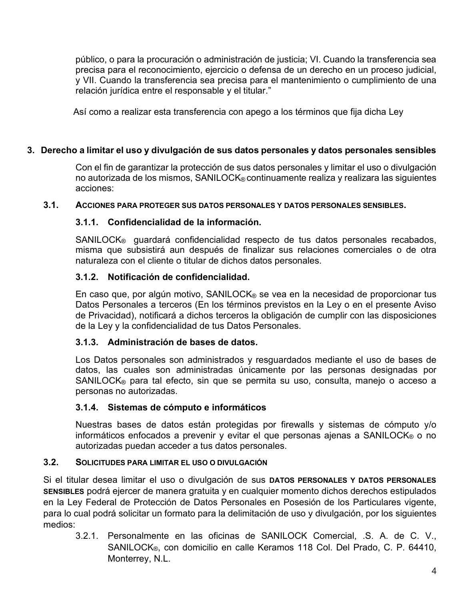público, o para la procuración o administración de justicia; VI. Cuando la transferencia sea precisa para el reconocimiento, ejercicio o defensa de un derecho en un proceso judicial, y VII. Cuando la transferencia sea precisa para el mantenimiento o cumplimiento de una relación jurídica entre el responsable y el titular."

Así como a realizar esta transferencia con apego a los términos que fija dicha Ley

### 3. Derecho a limitar el uso y divulgación de sus datos personales y datos personales sensibles

Con el fin de garantizar la protección de sus datos personales y limitar el uso o divulgación no autorizada de los mismos, SANILOCK® continuamente realiza y realizara las siguientes acciones:

#### $3.1.$ ACCIONES PARA PROTEGER SUS DATOS PERSONALES Y DATOS PERSONALES SENSIBLES.

### 3.1.1. Confidencialidad de la información.

SANILOCK<sup>®</sup> quardará confidencialidad respecto de tus datos personales recabados, misma que subsistirá aun después de finalizar sus relaciones comerciales o de otra naturaleza con el cliente o titular de dichos datos personales.

### 3.1.2. Notificación de confidencialidad.

En caso que, por algún motivo, SANILOCK® se vea en la necesidad de proporcionar tus Datos Personales a terceros (En los términos previstos en la Ley o en el presente Aviso de Privacidad), notificará a dichos terceros la obligación de cumplir con las disposiciones de la Ley y la confidencialidad de tus Datos Personales.

#### 3.1.3. Administración de bases de datos.

Los Datos personales son administrados y resguardados mediante el uso de bases de datos, las cuales son administradas únicamente por las personas designadas por SANILOCK® para tal efecto, sin que se permita su uso, consulta, manejo o acceso a personas no autorizadas.

# 3.1.4. Sistemas de cómputo e informáticos

Nuestras bases de datos están protegidas por firewalls y sistemas de cómputo y/o informáticos enfocados a prevenir y evitar el que personas ajenas a SANILOCK® o no autorizadas puedan acceder a tus datos personales.

#### $3.2.$ SOLICITUDES PARA LIMITAR EL USO O DIVULGACIÓN

Si el titular desea limitar el uso o divulgación de sus **DATOS PERSONALES Y DATOS PERSONALES** SENSIBLES podrá ejercer de manera gratuita y en cualquier momento dichos derechos estipulados en la Lev Federal de Protección de Datos Personales en Posesión de los Particulares vigente, para lo cual podrá solicitar un formato para la delimitación de uso y divulgación, por los siguientes medios:

3.2.1. Personalmente en las oficinas de SANILOCK Comercial, .S. A. de C. V., SANILOCK®, con domicilio en calle Keramos 118 Col. Del Prado, C. P. 64410, Monterrey, N.L.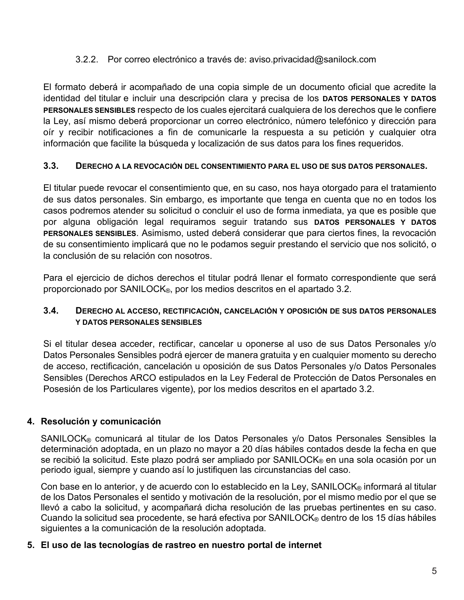#### 3.2.2. Por correo electrónico a través de: aviso.privacidad@sanilock.com

El formato deberá ir acompañado de una copia simple de un documento oficial que acredite la identidad del titular e incluir una descripción clara y precisa de los DATOS PERSONALES Y DATOS PERSONALES SENSIBLES respecto de los cuales ejercitará cualquiera de los derechos que le confiere la Ley, así mismo deberá proporcionar un correo electrónico, número telefónico y dirección para oír y recibir notificaciones a fin de comunicarle la respuesta a su petición y cualquier otra información que facilite la búsqueda y localización de sus datos para los fines requeridos.

#### $3.3.$ DERECHO A LA REVOCACIÓN DEL CONSENTIMIENTO PARA EL USO DE SUS DATOS PERSONALES.

El titular puede revocar el consentimiento que, en su caso, nos haya otorgado para el tratamiento de sus datos personales. Sin embargo, es importante que tenga en cuenta que no en todos los casos podremos atender su solicitud o concluir el uso de forma inmediata, ya que es posible que por alguna obligación legal requiramos seguir tratando sus DATOS PERSONALES Y DATOS PERSONALES SENSIBLES. Asimismo, usted deberá considerar que para ciertos fines, la revocación de su consentimiento implicará que no le podamos seguir prestando el servicio que nos solicitó, o la conclusión de su relación con nosotros.

Para el ejercicio de dichos derechos el titular podrá llenar el formato correspondiente que será proporcionado por SANILOCK®, por los medios descritos en el apartado 3.2.

#### $3.4.$ DERECHO AL ACCESO, RECTIFICACIÓN, CANCELACIÓN Y OPOSICIÓN DE SUS DATOS PERSONALES **Y DATOS PERSONALES SENSIBLES**

Si el titular desea acceder, rectificar, cancelar u oponerse al uso de sus Datos Personales y/o Datos Personales Sensibles podrá ejercer de manera gratuita y en cualquier momento su derecho de acceso, rectificación, cancelación u oposición de sus Datos Personales y/o Datos Personales Sensibles (Derechos ARCO estipulados en la Ley Federal de Protección de Datos Personales en Posesión de los Particulares vigente), por los medios descritos en el apartado 3.2.

# 4. Resolución y comunicación

SANILOCK® comunicará al titular de los Datos Personales y/o Datos Personales Sensibles la determinación adoptada, en un plazo no mayor a 20 días hábiles contados desde la fecha en que se recibió la solicitud. Este plazo podrá ser ampliado por SANILOCK® en una sola ocasión por un periodo igual, siempre y cuando así lo justifiquen las circunstancias del caso.

Con base en lo anterior, y de acuerdo con lo establecido en la Ley, SANILOCK® informará al titular de los Datos Personales el sentido y motivación de la resolución, por el mismo medio por el que se llevó a cabo la solicitud, y acompañará dicha resolución de las pruebas pertinentes en su caso. Cuando la solicitud sea procedente, se hará efectiva por SANILOCK® dentro de los 15 días hábiles siguientes a la comunicación de la resolución adoptada.

#### 5. El uso de las tecnologías de rastreo en nuestro portal de internet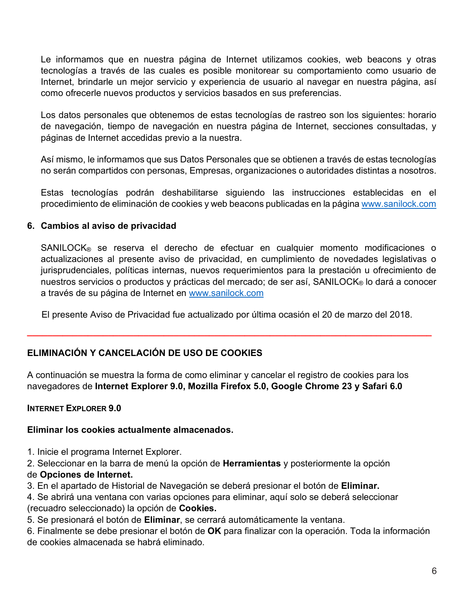Le informamos que en nuestra página de Internet utilizamos cookies, web beacons y otras tecnologías a través de las cuales es posible monitorear su comportamiento como usuario de Internet, brindarle un mejor servicio y experiencia de usuario al navegar en nuestra página, así como ofrecerle nuevos productos y servicios basados en sus preferencias.

Los datos personales que obtenemos de estas tecnologías de rastreo son los siguientes: horario de navegación, tiempo de navegación en nuestra página de Internet, secciones consultadas, y páginas de Internet accedidas previo a la nuestra.

Así mismo, le informamos que sus Datos Personales que se obtienen a través de estas tecnologías no serán compartidos con personas, Empresas, organizaciones o autoridades distintas a nosotros.

Estas tecnologías podrán deshabilitarse siguiendo las instrucciones establecidas en el procedimiento de eliminación de cookies y web beacons publicadas en la página www.sanilock.com

### 6. Cambios al aviso de privacidad

SANILOCK® se reserva el derecho de efectuar en cualquier momento modificaciones o actualizaciones al presente aviso de privacidad, en cumplimiento de novedades legislativas o jurisprudenciales, políticas internas, nuevos requerimientos para la prestación u ofrecimiento de nuestros servicios o productos y prácticas del mercado; de ser así, SANILOCK® lo dará a conocer a través de su página de Internet en www.sanilock.com

El presente Aviso de Privacidad fue actualizado por última ocasión el 20 de marzo del 2018.

# ELIMINACIÓN Y CANCELACIÓN DE USO DE COOKIES

A continuación se muestra la forma de como eliminar y cancelar el registro de cookies para los navegadores de Internet Explorer 9.0, Mozilla Firefox 5.0, Google Chrome 23 y Safari 6.0

#### **INTERNET EXPLORER 9.0**

#### Eliminar los cookies actualmente almacenados.

1. Inicie el programa Internet Explorer.

2. Seleccionar en la barra de menú la opción de **Herramientas** y posteriormente la opción de Opciones de Internet.

3. En el apartado de Historial de Navegación se deberá presionar el botón de Eliminar.

4. Se abrirá una ventana con varias opciones para eliminar, aquí solo se deberá seleccionar (recuadro seleccionado) la opción de Cookies.

5. Se presionará el botón de Eliminar, se cerrará automáticamente la ventana.

6. Finalmente se debe presionar el botón de OK para finalizar con la operación. Toda la información de cookies almacenada se habrá eliminado.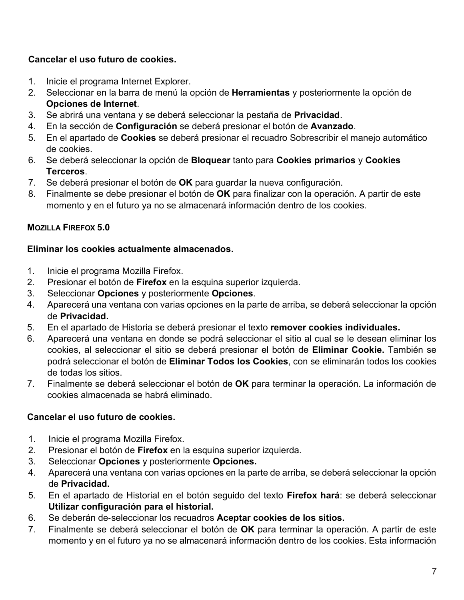# Cancelar el uso futuro de cookies.

- 1. Inicie el programa Internet Explorer.
- 2. Seleccionar en la barra de menú la opción de **Herramientas** y posteriormente la opción de Opciones de Internet.
- 3. Se abrirá una ventana y se deberá seleccionar la pestaña de Privacidad.
- 4. En la sección de Configuración se deberá presionar el botón de Avanzado.
- 5. En el apartado de Cookies se deberá presionar el recuadro Sobrescribir el manejo automático de cookies.
- 6. Se deberá seleccionar la opción de **Bloquear** tanto para **Cookies primarios** y **Cookies** Terceros.
- 7. Se deberá presionar el botón de OK para guardar la nueva configuración.
- 8. Finalmente se debe presionar el botón de OK para finalizar con la operación. A partir de este momento y en el futuro ya no se almacenará información dentro de los cookies.

# **MOZILLA FIREFOX 5.0**

### Eliminar los cookies actualmente almacenados.

- Inicie el programa Mozilla Firefox.  $1<sup>1</sup>$
- $2<sub>1</sub>$ Presionar el botón de Firefox en la esquina superior izquierda.
- Seleccionar Opciones y posteriormente Opciones.  $3<sub>1</sub>$
- $4<sup>1</sup>$ Aparecerá una ventana con varias opciones en la parte de arriba, se deberá seleccionar la opción de Privacidad.
- $5<sub>1</sub>$ En el apartado de Historia se deberá presionar el texto remover cookies individuales.
- Aparecerá una ventana en donde se podrá seleccionar el sitio al cual se le desean eliminar los 6. cookies, al seleccionar el sitio se deberá presionar el botón de Eliminar Cookie. También se podrá seleccionar el botón de Eliminar Todos los Cookies, con se eliminarán todos los cookies de todas los sitios.
- $7<sup>1</sup>$ Finalmente se deberá seleccionar el botón de OK para terminar la operación. La información de cookies almacenada se habrá eliminado.

# Cancelar el uso futuro de cookies.

- $1<sub>1</sub>$ Inicie el programa Mozilla Firefox.
- $2<sub>1</sub>$ Presionar el botón de Firefox en la esquina superior izquierda.
- 3. Seleccionar Opciones y posteriormente Opciones.
- Aparecerá una ventana con varias opciones en la parte de arriba, se deberá seleccionar la opción 4. de Privacidad.
- $5<sub>1</sub>$ En el apartado de Historial en el botón seguido del texto Firefox hará: se deberá seleccionar Utilizar configuración para el historial.
- Se deberán de-seleccionar los recuadros Aceptar cookies de los sitios. 6.
- $7<sub>1</sub>$ Finalmente se deberá seleccionar el botón de OK para terminar la operación. A partir de este momento y en el futuro ya no se almacenará información dentro de los cookies. Esta información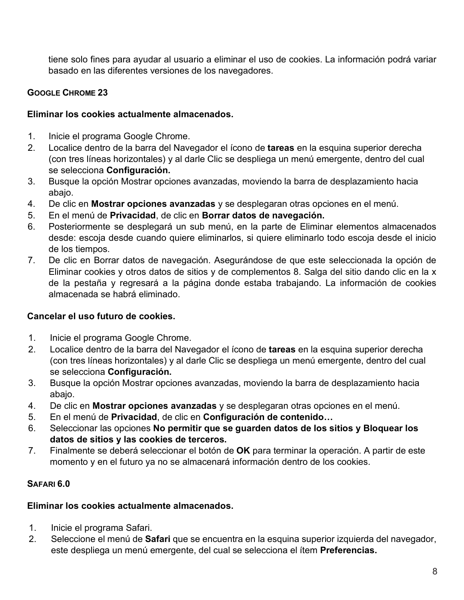tiene solo fines para ayudar al usuario a eliminar el uso de cookies. La información podrá variar basado en las diferentes versiones de los navegadores.

# **GOOGLE CHROME 23**

### Eliminar los cookies actualmente almacenados.

- $1<sup>1</sup>$ Inicie el programa Google Chrome.
- $2<sup>1</sup>$ Localice dentro de la barra del Navegador el ícono de tareas en la esquina superior derecha (con tres líneas horizontales) y al darle Clic se despliega un menú emergente, dentro del cual se selecciona Configuración.
- Busque la opción Mostrar opciones avanzadas, moviendo la barra de desplazamiento hacia 3. abaio.
- 4. De clic en Mostrar opciones avanzadas y se desplegaran otras opciones en el menú.
- En el menú de Privacidad, de clic en Borrar datos de navegación. 5.
- Posteriormente se desplegará un sub menú, en la parte de Eliminar elementos almacenados 6. desde: escoja desde cuando quiere eliminarlos, si quiere eliminarlo todo escoja desde el inicio de los tiempos.
- $7<sup>1</sup>$ De clic en Borrar datos de navegación. Asegurándose de que este seleccionada la opción de Eliminar cookies y otros datos de sitios y de complementos 8. Salga del sitio dando clic en la x de la pestaña y regresará a la página donde estaba trabajando. La información de cookies almacenada se habrá eliminado.

# Cancelar el uso futuro de cookies.

- $1<sub>1</sub>$ Inicie el programa Google Chrome.
- $2.$ Localice dentro de la barra del Navegador el ícono de tareas en la esquina superior derecha (con tres líneas horizontales) y al darle Clic se despliega un menú emergente, dentro del cual se selecciona Configuración.
- 3. Busque la opción Mostrar opciones avanzadas, moviendo la barra de desplazamiento hacia abajo.
- $\overline{4}$ De clic en Mostrar opciones avanzadas y se desplegaran otras opciones en el menú.
- En el menú de Privacidad, de clic en Configuración de contenido...  $5<sub>1</sub>$
- 6. Seleccionar las opciones No permitir que se guarden datos de los sitios y Bloquear los datos de sitios y las cookies de terceros.
- $7<sub>1</sub>$ Finalmente se deberá seleccionar el botón de OK para terminar la operación. A partir de este momento y en el futuro ya no se almacenará información dentro de los cookies.

# SAFARI 6.0

# Eliminar los cookies actualmente almacenados.

- $1_{-}$ Inicie el programa Safari.
- $2<sup>1</sup>$ Seleccione el menú de Safari que se encuentra en la esquina superior izquierda del navegador, este despliega un menú emergente, del cual se selecciona el ítem **Preferencias.**